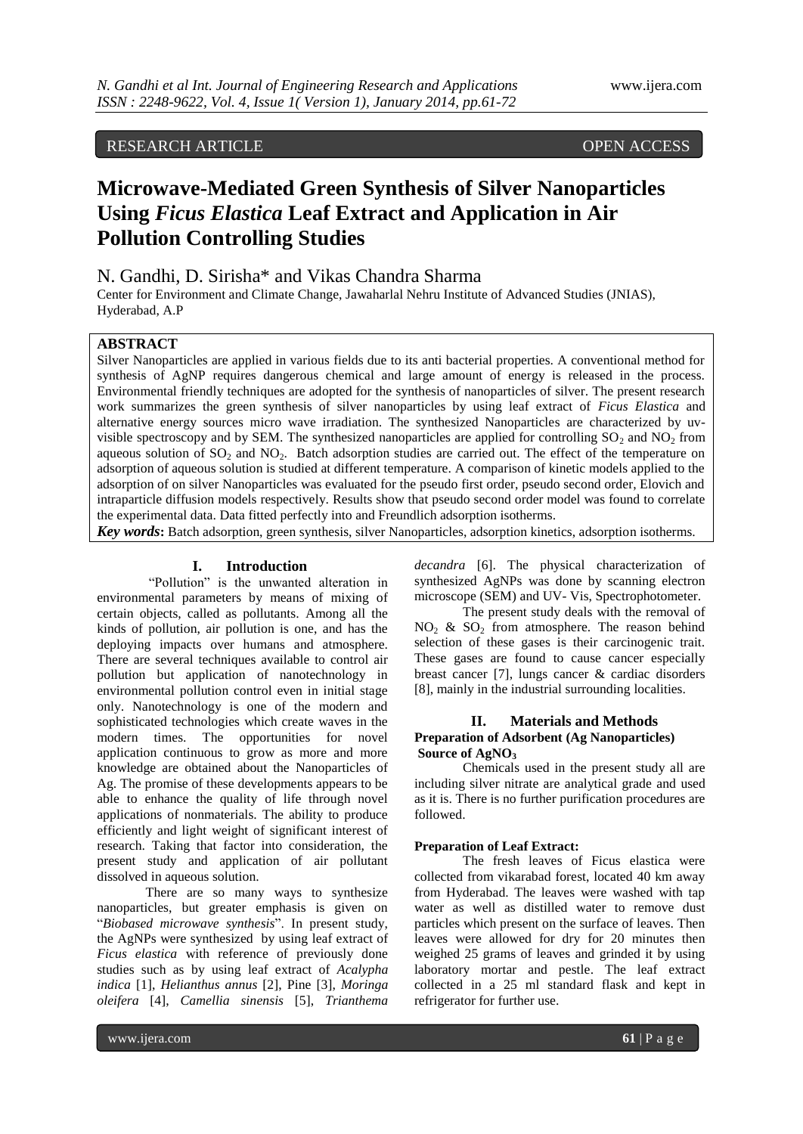# RESEARCH ARTICLE OPEN ACCESS

# **Microwave-Mediated Green Synthesis of Silver Nanoparticles Using** *Ficus Elastica* **Leaf Extract and Application in Air Pollution Controlling Studies**

# N. Gandhi, D. Sirisha\* and Vikas Chandra Sharma

Center for Environment and Climate Change, Jawaharlal Nehru Institute of Advanced Studies (JNIAS), Hyderabad, A.P

# **ABSTRACT**

Silver Nanoparticles are applied in various fields due to its anti bacterial properties. A conventional method for synthesis of AgNP requires dangerous chemical and large amount of energy is released in the process. Environmental friendly techniques are adopted for the synthesis of nanoparticles of silver. The present research work summarizes the green synthesis of silver nanoparticles by using leaf extract of *Ficus Elastica* and alternative energy sources micro wave irradiation. The synthesized Nanoparticles are characterized by uvvisible spectroscopy and by SEM. The synthesized nanoparticles are applied for controlling  $SO_2$  and NO<sub>2</sub> from aqueous solution of  $SO_2$  and  $NO_2$ . Batch adsorption studies are carried out. The effect of the temperature on adsorption of aqueous solution is studied at different temperature. A comparison of kinetic models applied to the adsorption of on silver Nanoparticles was evaluated for the pseudo first order, pseudo second order, Elovich and intraparticle diffusion models respectively. Results show that pseudo second order model was found to correlate the experimental data. Data fitted perfectly into and Freundlich adsorption isotherms.

*Key words***:** Batch adsorption, green synthesis, silver Nanoparticles, adsorption kinetics, adsorption isotherms.

#### **I. Introduction**

"Pollution" is the unwanted alteration in environmental parameters by means of mixing of certain objects, called as pollutants. Among all the kinds of pollution, air pollution is one, and has the deploying impacts over humans and atmosphere. There are several techniques available to control air pollution but application of nanotechnology in environmental pollution control even in initial stage only. Nanotechnology is one of the modern and sophisticated technologies which create waves in the modern times. The opportunities for novel application continuous to grow as more and more knowledge are obtained about the Nanoparticles of Ag. The promise of these developments appears to be able to enhance the quality of life through novel applications of nonmaterials. The ability to produce efficiently and light weight of significant interest of research. Taking that factor into consideration, the present study and application of air pollutant dissolved in aqueous solution.

There are so many ways to synthesize nanoparticles, but greater emphasis is given on "*Biobased microwave synthesis*". In present study, the AgNPs were synthesized by using leaf extract of *Ficus elastica* with reference of previously done studies such as by using leaf extract of *Acalypha indica* [1], *Helianthus annus* [2], Pine [3], *Moringa oleifera* [4], *Camellia sinensis* [5], *Trianthema*  *decandra* [6]. The physical characterization of synthesized AgNPs was done by scanning electron microscope (SEM) and UV- Vis, Spectrophotometer.

The present study deals with the removal of  $NO<sub>2</sub>$  &  $SO<sub>2</sub>$  from atmosphere. The reason behind selection of these gases is their carcinogenic trait. These gases are found to cause cancer especially breast cancer [7], lungs cancer & cardiac disorders [8], mainly in the industrial surrounding localities.

# **II. Materials and Methods Preparation of Adsorbent (Ag Nanoparticles) Source of AgNO<sup>3</sup>**

Chemicals used in the present study all are including silver nitrate are analytical grade and used as it is. There is no further purification procedures are followed.

### **Preparation of Leaf Extract:**

The fresh leaves of Ficus elastica were collected from vikarabad forest, located 40 km away from Hyderabad. The leaves were washed with tap water as well as distilled water to remove dust particles which present on the surface of leaves. Then leaves were allowed for dry for 20 minutes then weighed 25 grams of leaves and grinded it by using laboratory mortar and pestle. The leaf extract collected in a 25 ml standard flask and kept in refrigerator for further use.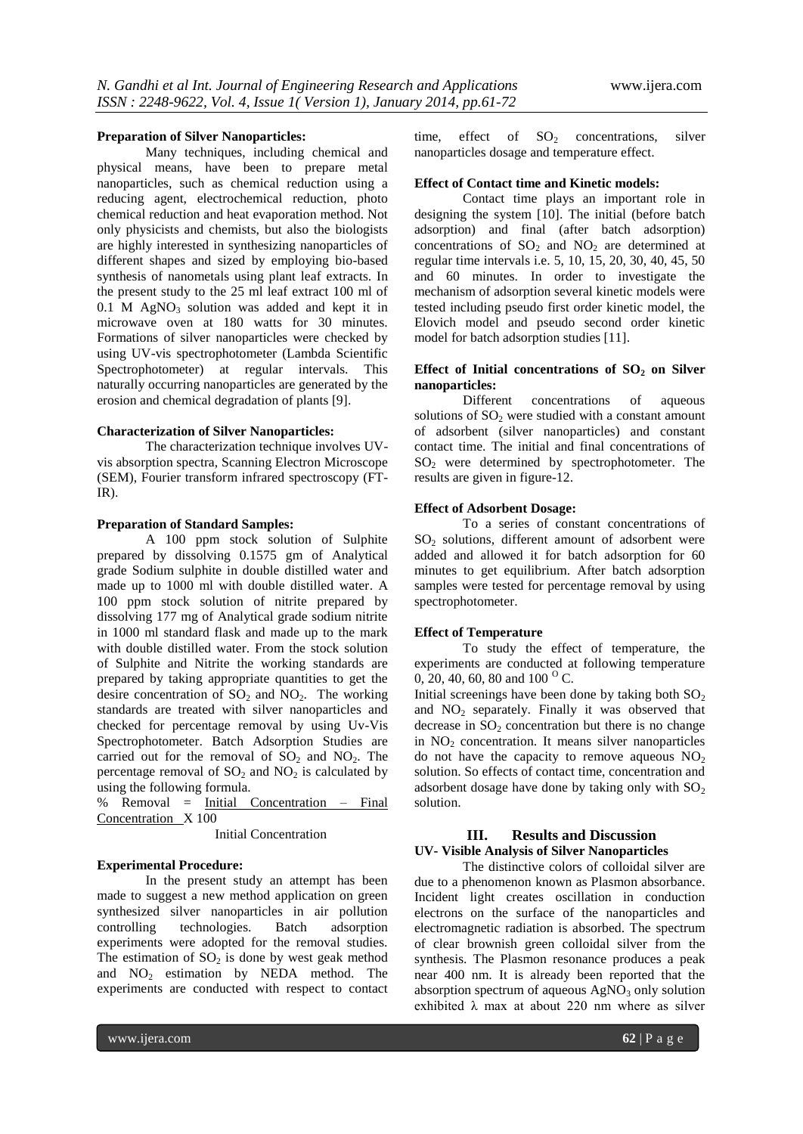#### **Preparation of Silver Nanoparticles:**

Many techniques, including chemical and physical means, have been to prepare metal nanoparticles, such as chemical reduction using a reducing agent, electrochemical reduction, photo chemical reduction and heat evaporation method. Not only physicists and chemists, but also the biologists are highly interested in synthesizing nanoparticles of different shapes and sized by employing bio-based synthesis of nanometals using plant leaf extracts. In the present study to the 25 ml leaf extract 100 ml of 0.1 M AgNO<sub>3</sub> solution was added and kept it in microwave oven at 180 watts for 30 minutes. Formations of silver nanoparticles were checked by using UV-vis spectrophotometer (Lambda Scientific Spectrophotometer) at regular intervals. This naturally occurring nanoparticles are generated by the erosion and chemical degradation of plants [9].

#### **Characterization of Silver Nanoparticles:**

The characterization technique involves UVvis absorption spectra, Scanning Electron Microscope (SEM), Fourier transform infrared spectroscopy (FT-IR).

#### **Preparation of Standard Samples:**

A 100 ppm stock solution of Sulphite prepared by dissolving 0.1575 gm of Analytical grade Sodium sulphite in double distilled water and made up to 1000 ml with double distilled water. A 100 ppm stock solution of nitrite prepared by dissolving 177 mg of Analytical grade sodium nitrite in 1000 ml standard flask and made up to the mark with double distilled water. From the stock solution of Sulphite and Nitrite the working standards are prepared by taking appropriate quantities to get the desire concentration of  $SO_2$  and  $NO_2$ . The working standards are treated with silver nanoparticles and checked for percentage removal by using Uv-Vis Spectrophotometer. Batch Adsorption Studies are carried out for the removal of  $SO_2$  and  $NO_2$ . The percentage removal of  $SO_2$  and  $NO_2$  is calculated by using the following formula.

% Removal = Initial Concentration – Final Concentration X 100

Initial Concentration

#### **Experimental Procedure:**

In the present study an attempt has been made to suggest a new method application on green synthesized silver nanoparticles in air pollution controlling technologies. Batch adsorption experiments were adopted for the removal studies. The estimation of  $SO<sub>2</sub>$  is done by west geak method and  $NO<sub>2</sub>$  estimation by NEDA method. The experiments are conducted with respect to contact

time, effect of  $SO_2$  concentrations, silver nanoparticles dosage and temperature effect.

#### **Effect of Contact time and Kinetic models:**

Contact time plays an important role in designing the system [10]. The initial (before batch adsorption) and final (after batch adsorption) concentrations of  $SO<sub>2</sub>$  and  $NO<sub>2</sub>$  are determined at regular time intervals i.e. 5, 10, 15, 20, 30, 40, 45, 50 and 60 minutes. In order to investigate the mechanism of adsorption several kinetic models were tested including pseudo first order kinetic model, the Elovich model and pseudo second order kinetic model for batch adsorption studies [11].

#### **Effect of Initial concentrations of SO<sup>2</sup> on Silver nanoparticles:**

Different concentrations of aqueous solutions of  $SO<sub>2</sub>$  were studied with a constant amount of adsorbent (silver nanoparticles) and constant contact time. The initial and final concentrations of SO<sup>2</sup> were determined by spectrophotometer. The results are given in figure-12.

#### **Effect of Adsorbent Dosage:**

To a series of constant concentrations of  $SO<sub>2</sub>$  solutions, different amount of adsorbent were added and allowed it for batch adsorption for 60 minutes to get equilibrium. After batch adsorption samples were tested for percentage removal by using spectrophotometer.

#### **Effect of Temperature**

To study the effect of temperature, the experiments are conducted at following temperature 0, 20, 40, 60, 80 and 100  $^{o}$  C.

Initial screenings have been done by taking both  $SO<sub>2</sub>$ and  $NO<sub>2</sub>$  separately. Finally it was observed that decrease in  $SO<sub>2</sub>$  concentration but there is no change in  $NO<sub>2</sub>$  concentration. It means silver nanoparticles do not have the capacity to remove aqueous  $NO<sub>2</sub>$ solution. So effects of contact time, concentration and adsorbent dosage have done by taking only with  $SO<sub>2</sub>$ solution.

# **III. Results and Discussion UV- Visible Analysis of Silver Nanoparticles**

The distinctive colors of colloidal silver are due to a phenomenon known as Plasmon absorbance. Incident light creates oscillation in conduction electrons on the surface of the nanoparticles and electromagnetic radiation is absorbed. The spectrum of clear brownish green colloidal silver from the synthesis. The Plasmon resonance produces a peak near 400 nm. It is already been reported that the absorption spectrum of aqueous  $AgNO<sub>3</sub>$  only solution exhibited  $\lambda$  max at about 220 nm where as silver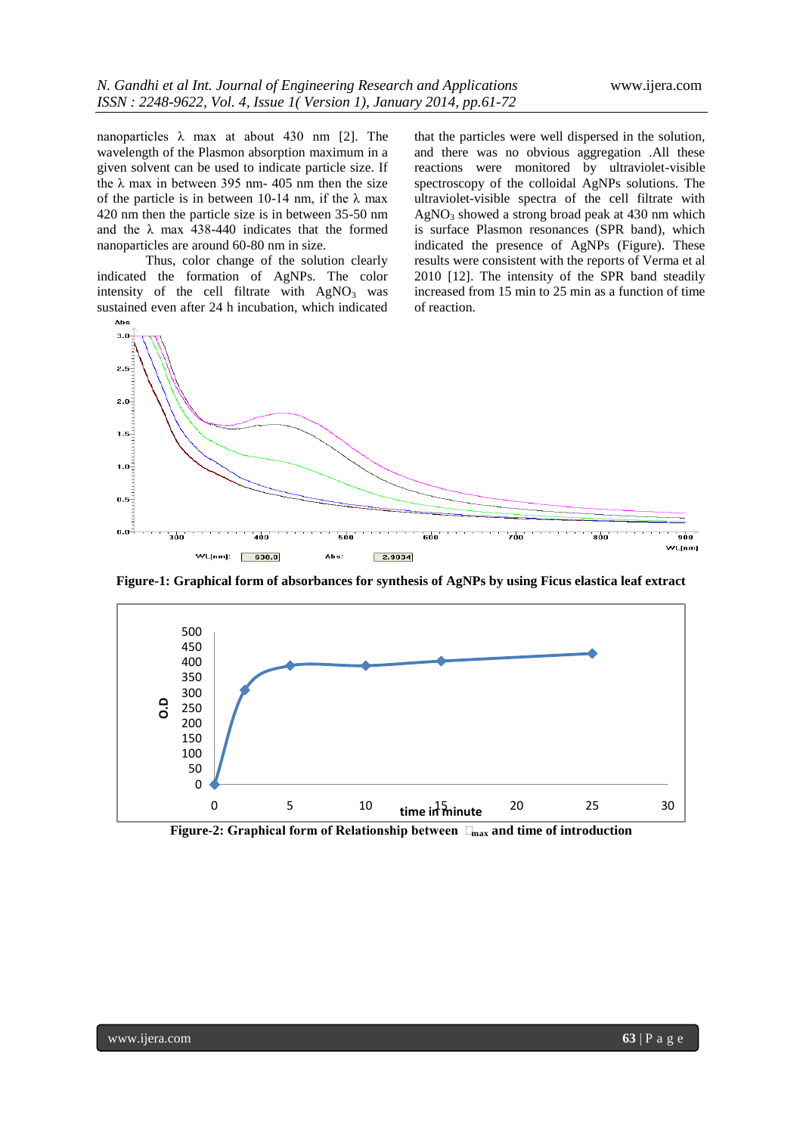nanoparticles  $\lambda$  max at about 430 nm [2]. The wavelength of the Plasmon absorption maximum in a given solvent can be used to indicate particle size. If the  $\lambda$  max in between 395 nm- 405 nm then the size of the particle is in between 10-14 nm, if the  $\lambda$  max 420 nm then the particle size is in between 35-50 nm and the  $\lambda$  max 438-440 indicates that the formed nanoparticles are around 60-80 nm in size.

Thus, color change of the solution clearly indicated the formation of AgNPs. The color intensity of the cell filtrate with  $AgNO<sub>3</sub>$  was sustained even after 24 h incubation, which indicated

that the particles were well dispersed in the solution, and there was no obvious aggregation .All these reactions were monitored by ultraviolet-visible spectroscopy of the colloidal AgNPs solutions. The ultraviolet-visible spectra of the cell filtrate with  $AgNO<sub>3</sub>$  showed a strong broad peak at 430 nm which is surface Plasmon resonances (SPR band), which indicated the presence of AgNPs (Figure). These results were consistent with the reports of Verma et al 2010 [12]. The intensity of the SPR band steadily increased from 15 min to 25 min as a function of time of reaction.



**Figure-1: Graphical form of absorbances for synthesis of AgNPs by using Ficus elastica leaf extract**



**Figure-2: Graphical form of Relationship between**  $\Box_{\text{max}}$  **and time of introduction**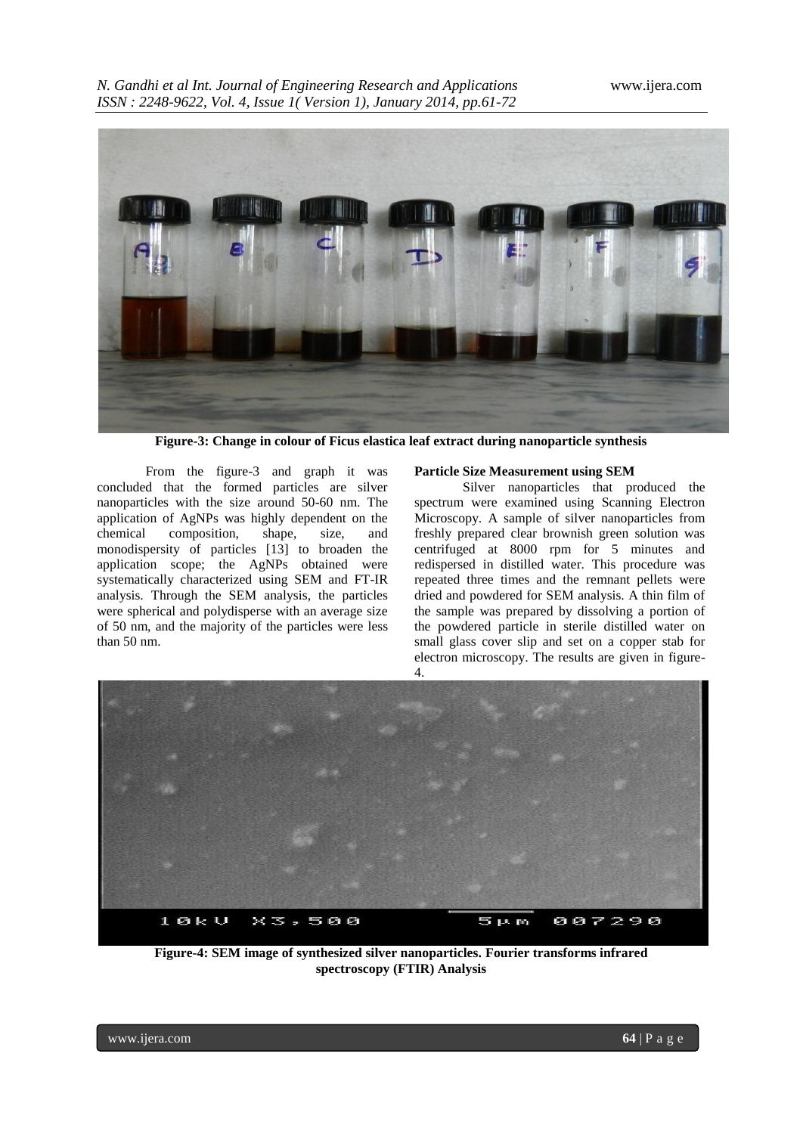

**Figure-3: Change in colour of Ficus elastica leaf extract during nanoparticle synthesis**

From the figure-3 and graph it was concluded that the formed particles are silver nanoparticles with the size around 50-60 nm. The application of AgNPs was highly dependent on the chemical composition, shape, size, and monodispersity of particles [13] to broaden the application scope; the AgNPs obtained were systematically characterized using SEM and FT-IR analysis. Through the SEM analysis, the particles were spherical and polydisperse with an average size of 50 nm, and the majority of the particles were less than 50 nm.

#### **Particle Size Measurement using SEM**

Silver nanoparticles that produced the spectrum were examined using Scanning Electron Microscopy. A sample of silver nanoparticles from freshly prepared clear brownish green solution was centrifuged at 8000 rpm for 5 minutes and redispersed in distilled water. This procedure was repeated three times and the remnant pellets were dried and powdered for SEM analysis. A thin film of the sample was prepared by dissolving a portion of the powdered particle in sterile distilled water on small glass cover slip and set on a copper stab for electron microscopy. The results are given in figure-4.



**Figure-4: SEM image of synthesized silver nanoparticles. Fourier transforms infrared spectroscopy (FTIR) Analysis**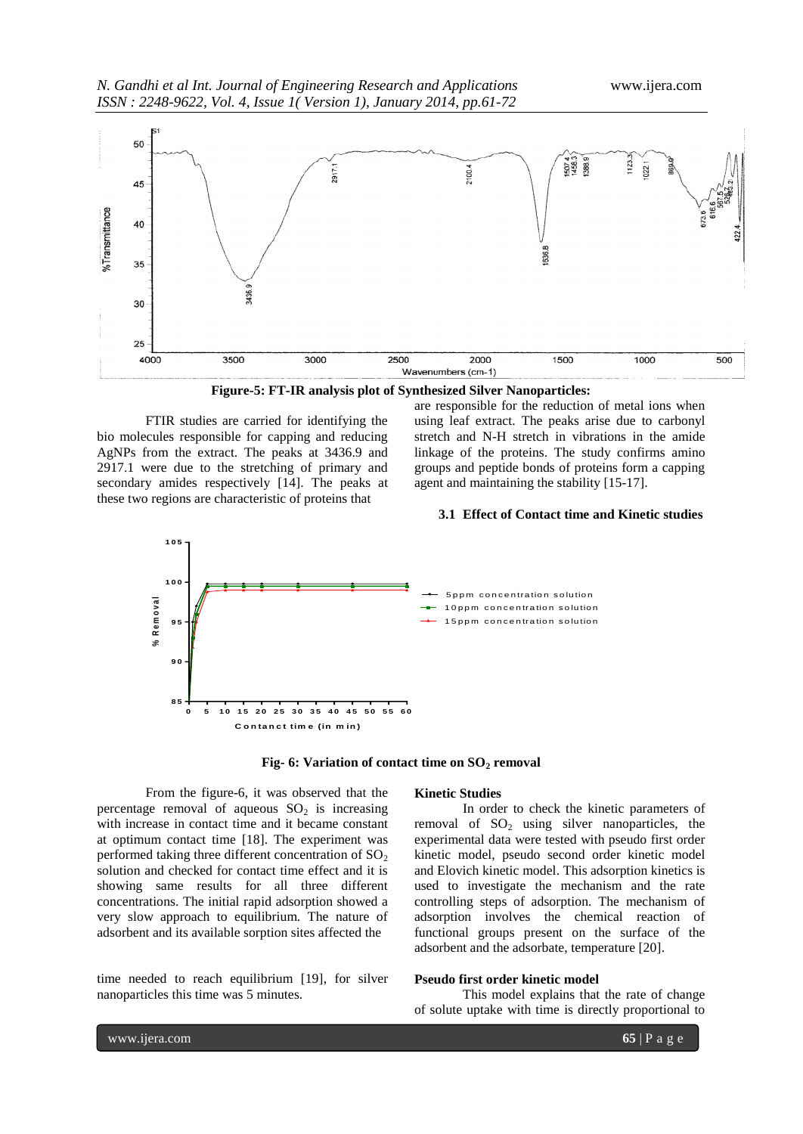

**Figure-5: FT-IR analysis plot of Synthesized Silver Nanoparticles:**

FTIR studies are carried for identifying the bio molecules responsible for capping and reducing AgNPs from the extract. The peaks at 3436.9 and 2917.1 were due to the stretching of primary and secondary amides respectively [14]. The peaks at these two regions are characteristic of proteins that

are responsible for the reduction of metal ions when using leaf extract. The peaks arise due to carbonyl stretch and N-H stretch in vibrations in the amide linkage of the proteins. The study confirms amino groups and peptide bonds of proteins form a capping agent and maintaining the stability [15-17].

# **3.1 Effect of Contact time and Kinetic studies**



**Fig- 6: Variation of contact time on SO<sup>2</sup> removal**

From the figure-6, it was observed that the percentage removal of aqueous  $SO<sub>2</sub>$  is increasing with increase in contact time and it became constant at optimum contact time [18]. The experiment was performed taking three different concentration of  $SO<sub>2</sub>$ solution and checked for contact time effect and it is showing same results for all three different concentrations. The initial rapid adsorption showed a very slow approach to equilibrium. The nature of adsorbent and its available sorption sites affected the

time needed to reach equilibrium [19], for silver nanoparticles this time was 5 minutes.

#### **Kinetic Studies**

In order to check the kinetic parameters of removal of  $SO_2$  using silver nanoparticles, the experimental data were tested with pseudo first order kinetic model, pseudo second order kinetic model and Elovich kinetic model. This adsorption kinetics is used to investigate the mechanism and the rate controlling steps of adsorption. The mechanism of adsorption involves the chemical reaction of functional groups present on the surface of the adsorbent and the adsorbate, temperature [20].

### **Pseudo first order kinetic model**

This model explains that the rate of change of solute uptake with time is directly proportional to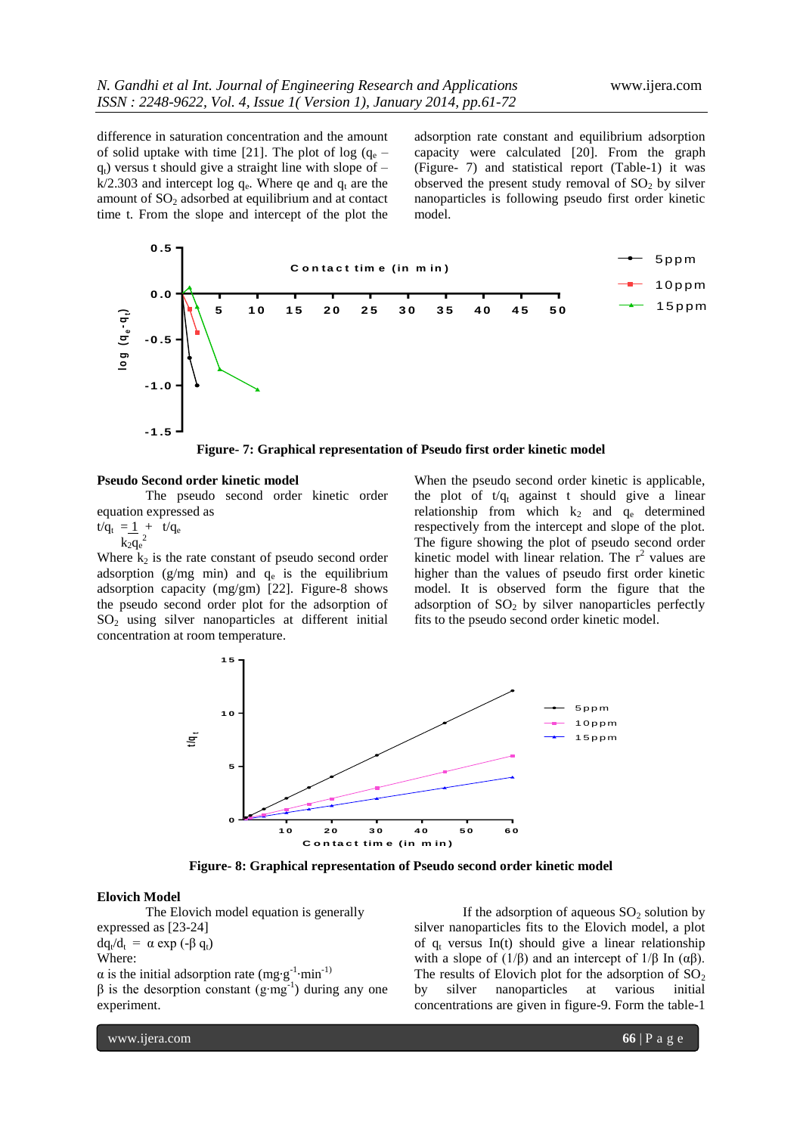difference in saturation concentration and the amount of solid uptake with time [21]. The plot of log  $(q_e$  $q_t$ ) versus t should give a straight line with slope of –  $k/2.303$  and intercept log  $q_e$ . Where qe and  $q_t$  are the amount of  $SO<sub>2</sub>$  adsorbed at equilibrium and at contact time t. From the slope and intercept of the plot the

adsorption rate constant and equilibrium adsorption capacity were calculated [20]. From the graph (Figure- 7) and statistical report (Table-1) it was observed the present study removal of  $SO_2$  by silver nanoparticles is following pseudo first order kinetic model.



**Figure- 7: Graphical representation of Pseudo first order kinetic model**

#### **Pseudo Second order kinetic model**

The pseudo second order kinetic order equation expressed as

 $t/q_t = 1 + t/q_e$  $k_2q_e^2$ 

Where  $k_2$  is the rate constant of pseudo second order adsorption  $(g/mg$  min) and  $q_e$  is the equilibrium adsorption capacity (mg/gm) [22]. Figure-8 shows the pseudo second order plot for the adsorption of  $SO<sub>2</sub>$  using silver nanoparticles at different initial concentration at room temperature.

When the pseudo second order kinetic is applicable, the plot of  $t/q_t$  against t should give a linear relationship from which  $k_2$  and  $q_e$  determined respectively from the intercept and slope of the plot. The figure showing the plot of pseudo second order kinetic model with linear relation. The  $r^2$  values are higher than the values of pseudo first order kinetic model. It is observed form the figure that the adsorption of  $SO<sub>2</sub>$  by silver nanoparticles perfectly fits to the pseudo second order kinetic model.



**Figure- 8: Graphical representation of Pseudo second order kinetic model**

#### **Elovich Model**

The Elovich model equation is generally expressed as [23-24]  $dq_t/d_t = \alpha \exp(-β q_t)$ Where:  $\alpha$  is the initial adsorption rate (mg·g<sup>-1</sup>·min<sup>-1)</sup>  $β$  is the desorption constant (g·mg<sup>-1</sup>) during any one experiment.

If the adsorption of aqueous  $SO_2$  solution by silver nanoparticles fits to the Elovich model, a plot of  $q_t$  versus In(t) should give a linear relationship with a slope of ( $1/β$ ) and an intercept of  $1/β$  In ( $αβ$ ). The results of Elovich plot for the adsorption of  $SO_2$ by silver nanoparticles at various initial concentrations are given in figure-9. Form the table-1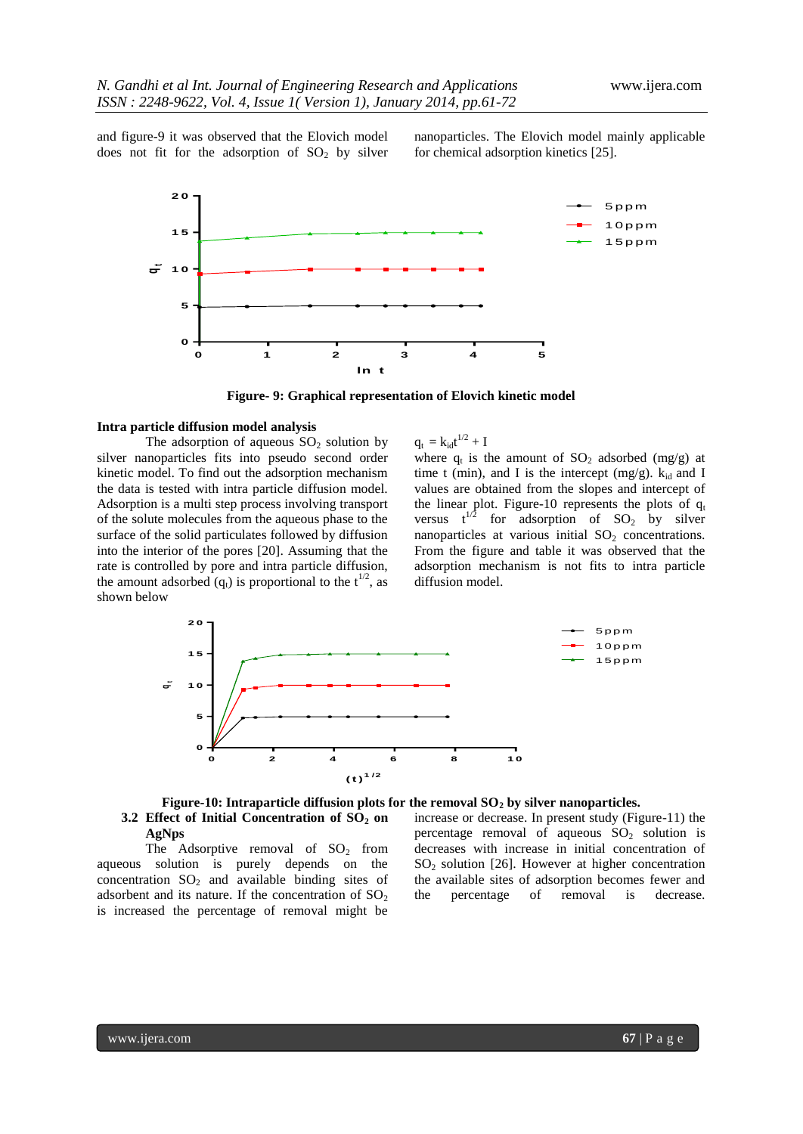and figure-9 it was observed that the Elovich model does not fit for the adsorption of  $SO_2$  by silver nanoparticles. The Elovich model mainly applicable for chemical adsorption kinetics [25].



**Figure- 9: Graphical representation of Elovich kinetic model**

#### **Intra particle diffusion model analysis**

The adsorption of aqueous  $SO<sub>2</sub>$  solution by silver nanoparticles fits into pseudo second order kinetic model. To find out the adsorption mechanism the data is tested with intra particle diffusion model. Adsorption is a multi step process involving transport of the solute molecules from the aqueous phase to the surface of the solid particulates followed by diffusion into the interior of the pores [20]. Assuming that the rate is controlled by pore and intra particle diffusion, the amount adsorbed  $(q_t)$  is proportional to the  $t^{1/2}$ , as shown below

 $q_t = k_{id}t^{1/2} + I$ 

where  $q_t$  is the amount of  $SO_2$  adsorbed (mg/g) at time t (min), and I is the intercept (mg/g).  $k_{id}$  and I values are obtained from the slopes and intercept of the linear plot. Figure-10 represents the plots of  $q_t$ versus  $t^{1/2}$  for adsorption of SO<sub>2</sub> by silver nanoparticles at various initial  $SO<sub>2</sub>$  concentrations. From the figure and table it was observed that the adsorption mechanism is not fits to intra particle diffusion model.



# **Figure-10: Intraparticle diffusion plots for the removal SO<sup>2</sup> by silver nanoparticles. 3.2 Effect of Initial Concentration of SO<sup>2</sup> on AgNps**

The Adsorptive removal of  $SO<sub>2</sub>$  from aqueous solution is purely depends on the concentration  $SO_2$  and available binding sites of adsorbent and its nature. If the concentration of  $SO<sub>2</sub>$ is increased the percentage of removal might be

increase or decrease. In present study (Figure-11) the percentage removal of aqueous  $SO_2$  solution is decreases with increase in initial concentration of  $SO<sub>2</sub>$  solution [26]. However at higher concentration the available sites of adsorption becomes fewer and the percentage of removal is decrease.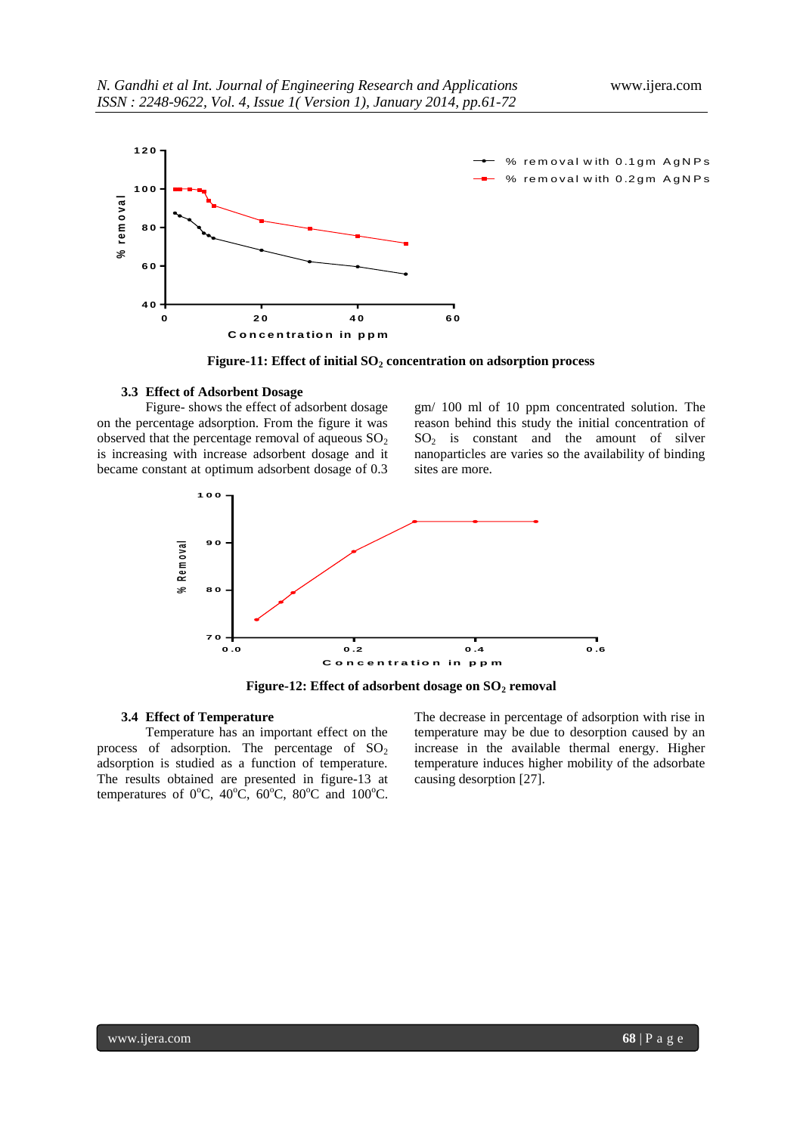

**Figure-11: Effect of initial SO<sup>2</sup> concentration on adsorption process**

#### **3.3 Effect of Adsorbent Dosage**

Figure- shows the effect of adsorbent dosage on the percentage adsorption. From the figure it was observed that the percentage removal of aqueous  $SO<sub>2</sub>$ is increasing with increase adsorbent dosage and it became constant at optimum adsorbent dosage of 0.3

gm/ 100 ml of 10 ppm concentrated solution. The reason behind this study the initial concentration of  $SO<sub>2</sub>$  is constant and the amount of silver nanoparticles are varies so the availability of binding sites are more.



**Figure-12: Effect of adsorbent dosage on SO<sup>2</sup> removal**

#### **3.4 Effect of Temperature**

Temperature has an important effect on the process of adsorption. The percentage of  $SO<sub>2</sub>$ adsorption is studied as a function of temperature. The results obtained are presented in figure-13 at temperatures of  $0^{\circ}$ C,  $40^{\circ}$ C,  $60^{\circ}$ C,  $80^{\circ}$ C and  $100^{\circ}$ C.

The decrease in percentage of adsorption with rise in temperature may be due to desorption caused by an increase in the available thermal energy. Higher temperature induces higher mobility of the adsorbate causing desorption [27].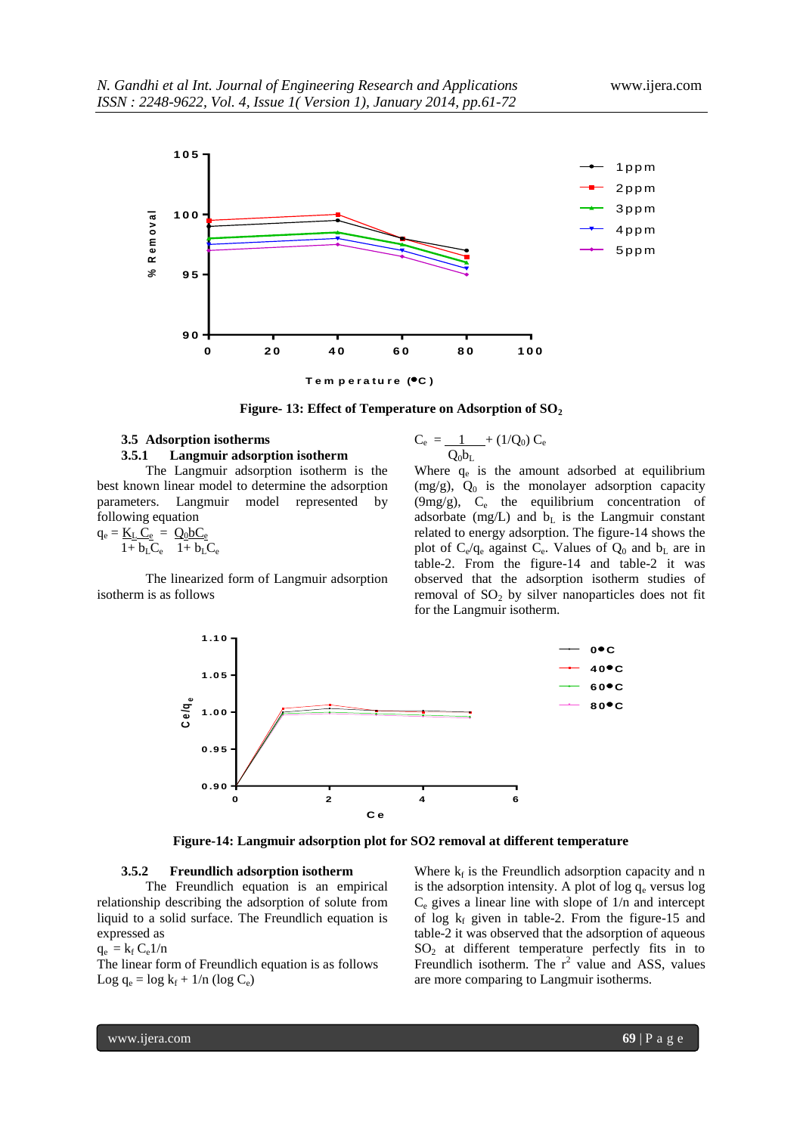

**Figure- 13: Effect of Temperature on Adsorption of SO<sup>2</sup>**

#### **3.5 Adsorption isotherms 3.5.1 Langmuir adsorption isotherm**

The Langmuir adsorption isotherm is the best known linear model to determine the adsorption parameters. Langmuir model represented by following equation

$$
q_e = \underline{K_L \ C_e} = \ \underline{Q_0 b C_e} 1 + b_L C_e \qquad 1 + b_L C_e
$$

The linearized form of Langmuir adsorption isotherm is as follows

$$
C_e \, = \frac{1}{Q_0 b_L} + \left( 1/Q_0 \right) \, C_e
$$

Where  $q_e$  is the amount adsorbed at equilibrium (mg/g),  $Q_0$  is the monolayer adsorption capacity (9mg/g), C<sub>e</sub> the equilibrium concentration of adsorbate (mg/L) and  $b<sub>L</sub>$  is the Langmuir constant related to energy adsorption. The figure-14 shows the plot of  $C_e/q_e$  against  $C_e$ . Values of  $Q_0$  and  $b_L$  are in table-2. From the figure-14 and table-2 it was observed that the adsorption isotherm studies of removal of  $SO<sub>2</sub>$  by silver nanoparticles does not fit for the Langmuir isotherm.



**Figure-14: Langmuir adsorption plot for SO2 removal at different temperature**

#### **3.5.2 Freundlich adsorption isotherm**

The Freundlich equation is an empirical relationship describing the adsorption of solute from liquid to a solid surface. The Freundlich equation is expressed as

 $q_e = k_f C_e 1/n$ 

The linear form of Freundlich equation is as follows Log  $q_e = log k_f + 1/n$  (log  $C_e$ )

Where  $k_f$  is the Freundlich adsorption capacity and n is the adsorption intensity. A plot of  $log q_e$  versus  $log$  $C_e$  gives a linear line with slope of  $1/n$  and intercept of log  $k_f$  given in table-2. From the figure-15 and table-2 it was observed that the adsorption of aqueous  $SO<sub>2</sub>$  at different temperature perfectly fits in to Freundlich isotherm. The  $r^2$  value and ASS, values are more comparing to Langmuir isotherms.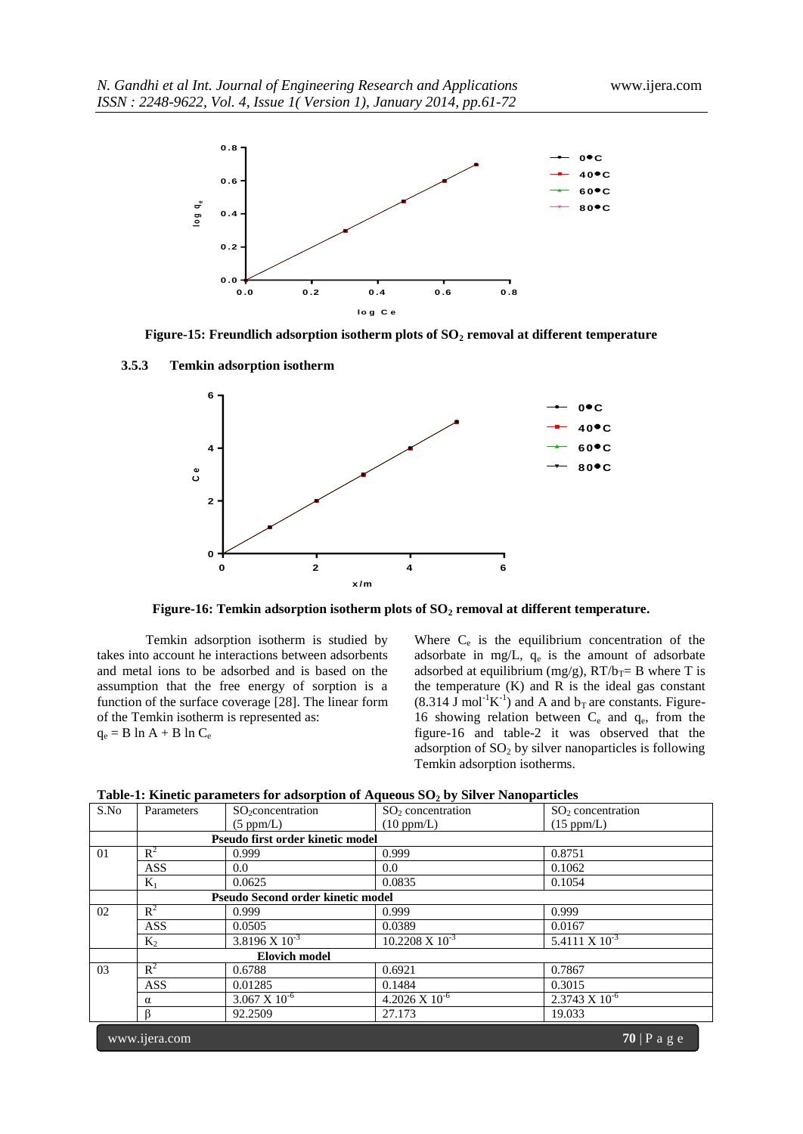

**Figure-15: Freundlich adsorption isotherm plots of SO<sup>2</sup> removal at different temperature**

**3.5.3 Temkin adsorption isotherm**



**Figure-16: Temkin adsorption isotherm plots of SO<sup>2</sup> removal at different temperature.**

Temkin adsorption isotherm is studied by takes into account he interactions between adsorbents and metal ions to be adsorbed and is based on the assumption that the free energy of sorption is a function of the surface coverage [28]. The linear form of the Temkin isotherm is represented as:  $q_e = B \ln A + B \ln C_e$ 

Where  $C_e$  is the equilibrium concentration of the adsorbate in mg/L,  $q_e$  is the amount of adsorbate adsorbed at equilibrium (mg/g),  $RT/b_T = B$  where T is the temperature  $(K)$  and  $R$  is the ideal gas constant  $(8.314 \text{ J mol}^{-1}\text{K}^{-1})$  and A and b<sub>T</sub> are constants. Figure-16 showing relation between  $C_e$  and  $q_e$ , from the figure-16 and table-2 it was observed that the adsorption of  $SO<sub>2</sub>$  by silver nanoparticles is following Temkin adsorption isotherms.

| S.No | Parameters     | $SO_2$ concentration              | $SO2$ concentration          | $SO2$ concentration         |
|------|----------------|-----------------------------------|------------------------------|-----------------------------|
|      |                | (5 ppm/L)                         | (10 ppm/L)                   | $(15$ ppm/L)                |
|      |                | Pseudo first order kinetic model  |                              |                             |
| 01   | $R^2$          | 0.999                             | 0.999                        | 0.8751                      |
|      | <b>ASS</b>     | 0.0                               | 0.0                          | 0.1062                      |
|      | $K_1$          | 0.0625                            | 0.0835                       | 0.1054                      |
|      |                | Pseudo Second order kinetic model |                              |                             |
| 02   | $\mathbb{R}^2$ | 0.999                             | 0.999                        | 0.999                       |
|      | <b>ASS</b>     | 0.0505                            | 0.0389                       | 0.0167                      |
|      | $K_2$          | $3.8196 \times 10^{-3}$           | $10.2208 \text{ X } 10^{-3}$ | $5.4111 \text{ X } 10^{-3}$ |
|      |                | <b>Elovich model</b>              |                              |                             |
| 03   | $R^2$          | 0.6788                            | 0.6921                       | 0.7867                      |
|      | <b>ASS</b>     | 0.01285                           | 0.1484                       | 0.3015                      |
|      | $\alpha$       | $3.067 \times 10^{-6}$            | $4.2026 \times 10^{-6}$      | $2.3743 \times 10^{-6}$     |
|      |                | 92.2509                           | 27.173                       | 19.033                      |
|      | www.ijera.com  |                                   |                              | $70$   P a g e              |

**Table-1: Kinetic parameters for adsorption of Aqueous SO<sup>2</sup> by Silver Nanoparticles**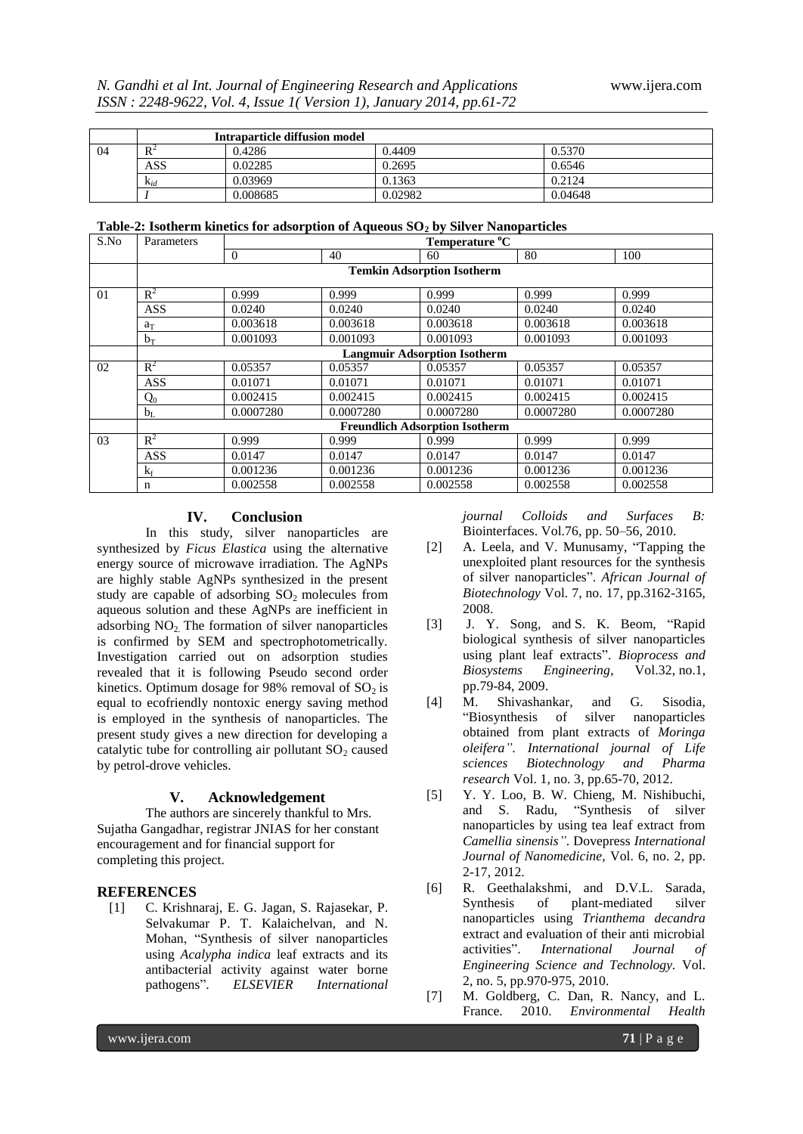|    | Intraparticle diffusion model |          |         |         |  |  |
|----|-------------------------------|----------|---------|---------|--|--|
| 04 | $R^2$                         | 0.4286   | 0.4409  | 0.5370  |  |  |
|    | ASS                           | 0.02285  | 0.2695  | 0.6546  |  |  |
|    | $K_{id}$                      | 0.03969  | 0.1363  | 0.2124  |  |  |
|    |                               | 0.008685 | 0.02982 | 0.04648 |  |  |

|  |  |  |  |  |  |  |  | Table-2: Isotherm kinetics for adsorption of Aqueous $SO_2$ by Silver Nanoparticles |
|--|--|--|--|--|--|--|--|-------------------------------------------------------------------------------------|
|--|--|--|--|--|--|--|--|-------------------------------------------------------------------------------------|

| S.No | Temperature °C<br>Parameters          |                                   |           |           |           |           |  |  |
|------|---------------------------------------|-----------------------------------|-----------|-----------|-----------|-----------|--|--|
|      |                                       | $\Omega$                          | 40        | 60        | 80        | 100       |  |  |
|      |                                       | <b>Temkin Adsorption Isotherm</b> |           |           |           |           |  |  |
| 01   | $R^2$                                 | 0.999                             | 0.999     | 0.999     | 0.999     | 0.999     |  |  |
|      | <b>ASS</b>                            | 0.0240                            | 0.0240    | 0.0240    | 0.0240    | 0.0240    |  |  |
|      | $a_T$                                 | 0.003618                          | 0.003618  | 0.003618  | 0.003618  | 0.003618  |  |  |
|      | $b_T$                                 | 0.001093                          | 0.001093  | 0.001093  | 0.001093  | 0.001093  |  |  |
|      | <b>Langmuir Adsorption Isotherm</b>   |                                   |           |           |           |           |  |  |
| 02   | $R^2$                                 | 0.05357                           | 0.05357   | 0.05357   | 0.05357   | 0.05357   |  |  |
|      | <b>ASS</b>                            | 0.01071                           | 0.01071   | 0.01071   | 0.01071   | 0.01071   |  |  |
|      | $Q_0$                                 | 0.002415                          | 0.002415  | 0.002415  | 0.002415  | 0.002415  |  |  |
|      | $b_L$                                 | 0.0007280                         | 0.0007280 | 0.0007280 | 0.0007280 | 0.0007280 |  |  |
|      | <b>Freundlich Adsorption Isotherm</b> |                                   |           |           |           |           |  |  |
| 03   | $R^2$                                 | 0.999                             | 0.999     | 0.999     | 0.999     | 0.999     |  |  |
|      | <b>ASS</b>                            | 0.0147                            | 0.0147    | 0.0147    | 0.0147    | 0.0147    |  |  |
|      | $k_f$                                 | 0.001236                          | 0.001236  | 0.001236  | 0.001236  | 0.001236  |  |  |
|      | $\mathbf n$                           | 0.002558                          | 0.002558  | 0.002558  | 0.002558  | 0.002558  |  |  |

# **IV. Conclusion**

In this study, silver nanoparticles are synthesized by *Ficus Elastica* using the alternative energy source of microwave irradiation. The AgNPs are highly stable AgNPs synthesized in the present study are capable of adsorbing  $SO_2$  molecules from aqueous solution and these AgNPs are inefficient in adsorbing  $NO<sub>2</sub>$ . The formation of silver nanoparticles is confirmed by SEM and spectrophotometrically. Investigation carried out on adsorption studies revealed that it is following Pseudo second order kinetics. Optimum dosage for 98% removal of  $SO<sub>2</sub>$  is equal to ecofriendly nontoxic energy saving method is employed in the synthesis of nanoparticles. The present study gives a new direction for developing a catalytic tube for controlling air pollutant  $SO<sub>2</sub>$  caused by petrol-drove vehicles.

#### **V. Acknowledgement**

The authors are sincerely thankful to Mrs. Sujatha Gangadhar, registrar JNIAS for her constant encouragement and for financial support for completing this project.

# **REFERENCES**

[1] C. Krishnaraj, E. G. Jagan, S. Rajasekar, P. Selvakumar P. T. Kalaichelvan, and N. Mohan, "Synthesis of silver nanoparticles using *Acalypha indica* leaf extracts and its antibacterial activity against water borne pathogens". *ELSEVIER International* 

*journal Colloids and Surfaces B:* Biointerfaces. Vol.76, pp. 50–56, 2010.

- [2] A. Leela, and V. Munusamy, "Tapping the unexploited plant resources for the synthesis of silver nanoparticles". *African Journal of Biotechnology* Vol. 7, no. 17, pp.3162-3165, 2008.
- [3] [J. Y. Song,](http://link.springer.com/search?facet-author=%22Jae+Yong+Song%22) and S. K. [Beom, "](http://link.springer.com/search?facet-author=%22Beom+Soo+Kim%22)Rapid biological synthesis of silver nanoparticles using plant leaf extracts". *[Bioprocess and](http://link.springer.com/journal/449)  [Biosystems Engineering](http://link.springer.com/journal/449)*, Vol.32, no[.1,](http://link.springer.com/journal/449/32/1/page/1) pp.79-84, 2009.
- [4] M. Shivashankar, and G. Sisodia, "Biosynthesis of silver nanoparticles obtained from plant extracts of *Moringa oleifera"*. *International journal of Life sciences Biotechnology and Pharma research* Vol. 1, no. 3, pp.65-70, 2012.
- [5] Y. Y. Loo, B. W. Chieng, M. Nishibuchi, and S. Radu, "Synthesis of silver "Synthesis of silver nanoparticles by using tea leaf extract from *Camellia sinensis"*. Dovepress *International Journal of Nanomedicine,* Vol. 6, no. 2, pp. 2-17, 2012.
- [6] R. Geethalakshmi, and D.V.L. Sarada, Synthesis of plant-mediated silver nanoparticles using *Trianthema decandra*  extract and evaluation of their anti microbial activities". *International Journal of Engineering Science and Technology.* Vol. 2, no. 5, pp.970-975, 2010.
- [7] M. Goldberg, C. Dan, R. Nancy, and L. France. 2010. *Environmental Health*